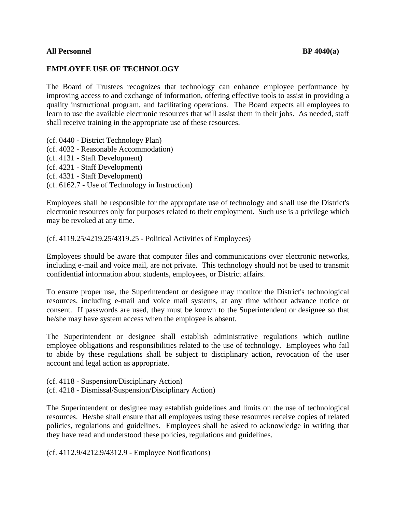## **All Personnel BP 4040(a)**

## **EMPLOYEE USE OF TECHNOLOGY**

The Board of Trustees recognizes that technology can enhance employee performance by improving access to and exchange of information, offering effective tools to assist in providing a quality instructional program, and facilitating operations. The Board expects all employees to learn to use the available electronic resources that will assist them in their jobs. As needed, staff shall receive training in the appropriate use of these resources.

(cf. 0440 - District Technology Plan) (cf. 4032 - Reasonable Accommodation) (cf. 4131 - Staff Development) (cf. 4231 - Staff Development) (cf. 4331 - Staff Development) (cf. 6162.7 - Use of Technology in Instruction)

Employees shall be responsible for the appropriate use of technology and shall use the District's electronic resources only for purposes related to their employment. Such use is a privilege which may be revoked at any time.

(cf. 4119.25/4219.25/4319.25 - Political Activities of Employees)

Employees should be aware that computer files and communications over electronic networks, including e-mail and voice mail, are not private. This technology should not be used to transmit confidential information about students, employees, or District affairs.

To ensure proper use, the Superintendent or designee may monitor the District's technological resources, including e-mail and voice mail systems, at any time without advance notice or consent. If passwords are used, they must be known to the Superintendent or designee so that he/she may have system access when the employee is absent.

The Superintendent or designee shall establish administrative regulations which outline employee obligations and responsibilities related to the use of technology. Employees who fail to abide by these regulations shall be subject to disciplinary action, revocation of the user account and legal action as appropriate.

(cf. 4118 - Suspension/Disciplinary Action) (cf. 4218 - Dismissal/Suspension/Disciplinary Action)

The Superintendent or designee may establish guidelines and limits on the use of technological resources. He/she shall ensure that all employees using these resources receive copies of related policies, regulations and guidelines. Employees shall be asked to acknowledge in writing that they have read and understood these policies, regulations and guidelines.

(cf. 4112.9/4212.9/4312.9 - Employee Notifications)